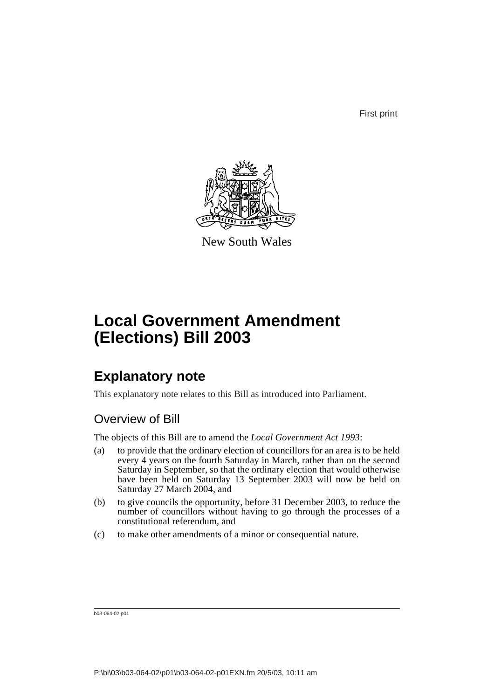First print



New South Wales

# **Local Government Amendment (Elections) Bill 2003**

## **Explanatory note**

This explanatory note relates to this Bill as introduced into Parliament.

### Overview of Bill

The objects of this Bill are to amend the *Local Government Act 1993*:

- (a) to provide that the ordinary election of councillors for an area is to be held every 4 years on the fourth Saturday in March, rather than on the second Saturday in September, so that the ordinary election that would otherwise have been held on Saturday 13 September 2003 will now be held on Saturday 27 March 2004, and
- (b) to give councils the opportunity, before 31 December 2003, to reduce the number of councillors without having to go through the processes of a constitutional referendum, and
- (c) to make other amendments of a minor or consequential nature.

b03-064-02.p01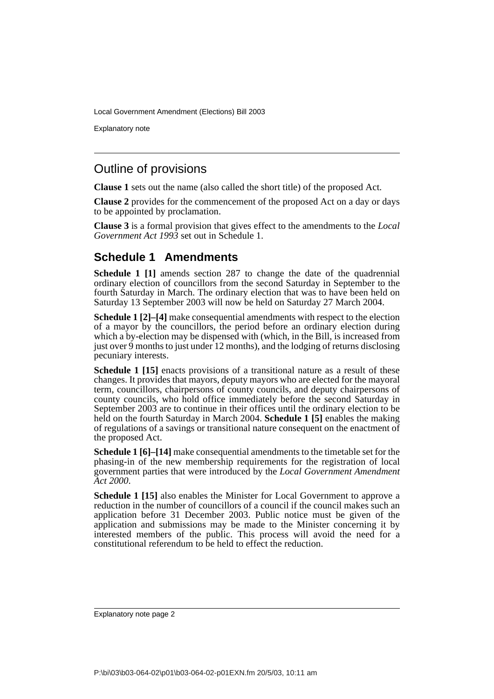Explanatory note

### Outline of provisions

**Clause 1** sets out the name (also called the short title) of the proposed Act.

**Clause 2** provides for the commencement of the proposed Act on a day or days to be appointed by proclamation.

**Clause 3** is a formal provision that gives effect to the amendments to the *Local Government Act 1993* set out in Schedule 1.

### **Schedule 1 Amendments**

**Schedule 1 [1]** amends section 287 to change the date of the quadrennial ordinary election of councillors from the second Saturday in September to the fourth Saturday in March. The ordinary election that was to have been held on Saturday 13 September 2003 will now be held on Saturday 27 March 2004.

**Schedule 1 [2]–[4]** make consequential amendments with respect to the election of a mayor by the councillors, the period before an ordinary election during which a by-election may be dispensed with (which, in the Bill, is increased from just over  $\dot{9}$  months to just under 12 months), and the lodging of returns disclosing pecuniary interests.

**Schedule 1** [15] enacts provisions of a transitional nature as a result of these changes. It provides that mayors, deputy mayors who are elected for the mayoral term, councillors, chairpersons of county councils, and deputy chairpersons of county councils, who hold office immediately before the second Saturday in September 2003 are to continue in their offices until the ordinary election to be held on the fourth Saturday in March 2004. **Schedule 1 [5]** enables the making of regulations of a savings or transitional nature consequent on the enactment of the proposed Act.

**Schedule 1 [6]–[14]** make consequential amendments to the timetable set for the phasing-in of the new membership requirements for the registration of local government parties that were introduced by the *Local Government Amendment Act 2000*.

**Schedule 1 [15]** also enables the Minister for Local Government to approve a reduction in the number of councillors of a council if the council makes such an application before 31 December 2003. Public notice must be given of the application and submissions may be made to the Minister concerning it by interested members of the public. This process will avoid the need for a constitutional referendum to be held to effect the reduction.

Explanatory note page 2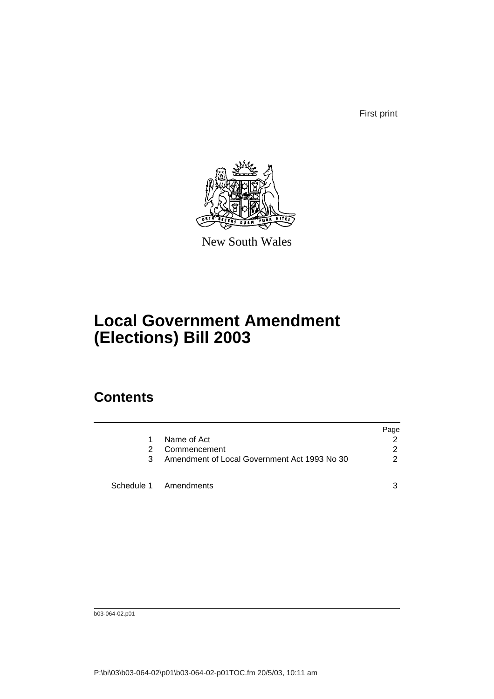First print



New South Wales

# **Local Government Amendment (Elections) Bill 2003**

## **Contents**

|    |                                              | Page          |
|----|----------------------------------------------|---------------|
| 1. | Name of Act                                  |               |
| 2  | Commencement                                 | 2             |
| 3  | Amendment of Local Government Act 1993 No 30 | $\mathcal{P}$ |
|    | Schedule 1 Amendments                        | 3             |

b03-064-02.p01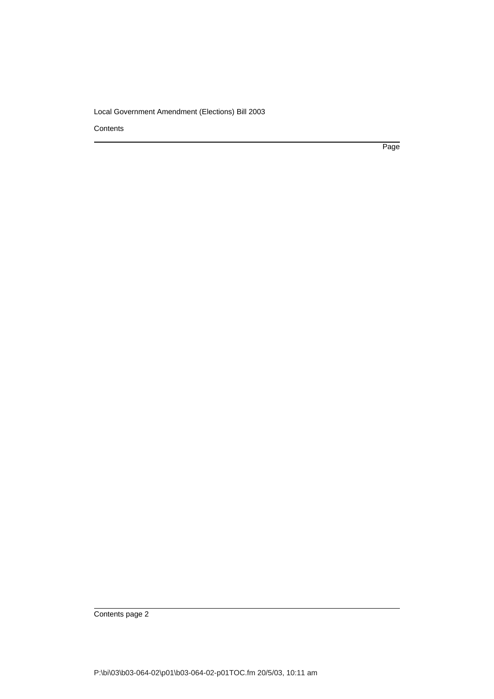**Contents** 

Page

Contents page 2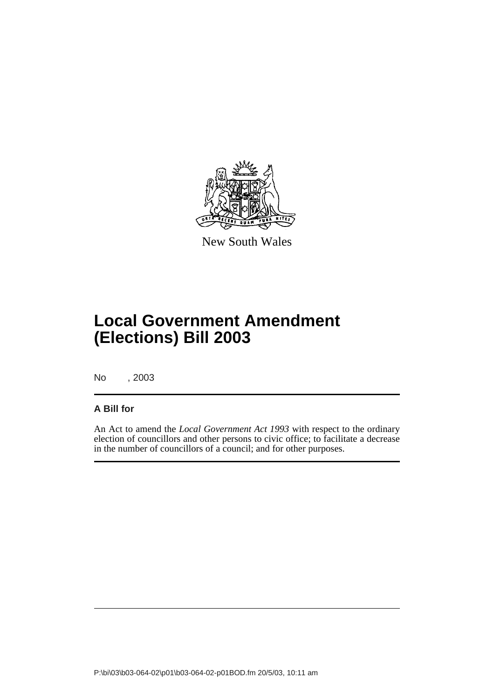

New South Wales

## **Local Government Amendment (Elections) Bill 2003**

No , 2003

#### **A Bill for**

An Act to amend the *Local Government Act 1993* with respect to the ordinary election of councillors and other persons to civic office; to facilitate a decrease in the number of councillors of a council; and for other purposes.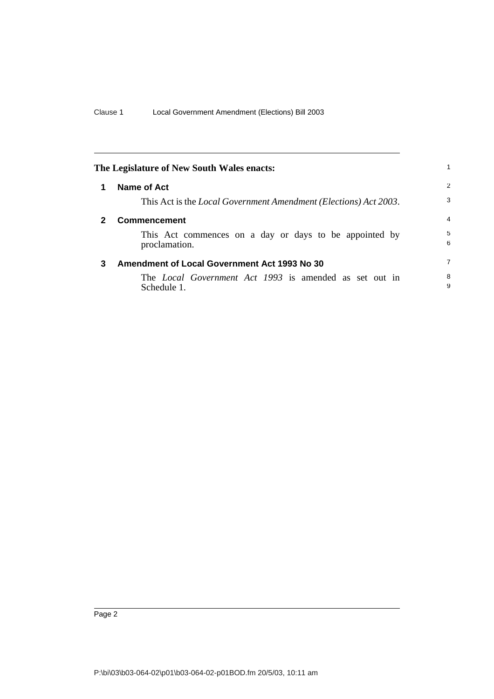<span id="page-5-2"></span><span id="page-5-1"></span><span id="page-5-0"></span>

| The Legislature of New South Wales enacts:<br>Name of Act<br>1<br>This Act is the <i>Local Government Amendment (Elections) Act 2003</i> .<br><b>Commencement</b><br>$\mathbf{2}$<br>This Act commences on a day or days to be appointed by | 1                                                                            |                |
|---------------------------------------------------------------------------------------------------------------------------------------------------------------------------------------------------------------------------------------------|------------------------------------------------------------------------------|----------------|
|                                                                                                                                                                                                                                             |                                                                              | 2              |
|                                                                                                                                                                                                                                             |                                                                              | 3              |
|                                                                                                                                                                                                                                             |                                                                              | $\overline{4}$ |
|                                                                                                                                                                                                                                             | proclamation.                                                                | 5<br>6         |
| 3                                                                                                                                                                                                                                           | <b>Amendment of Local Government Act 1993 No 30</b>                          | $\overline{7}$ |
|                                                                                                                                                                                                                                             | The <i>Local Government Act 1993</i> is amended as set out in<br>Schedule 1. | 8<br>9         |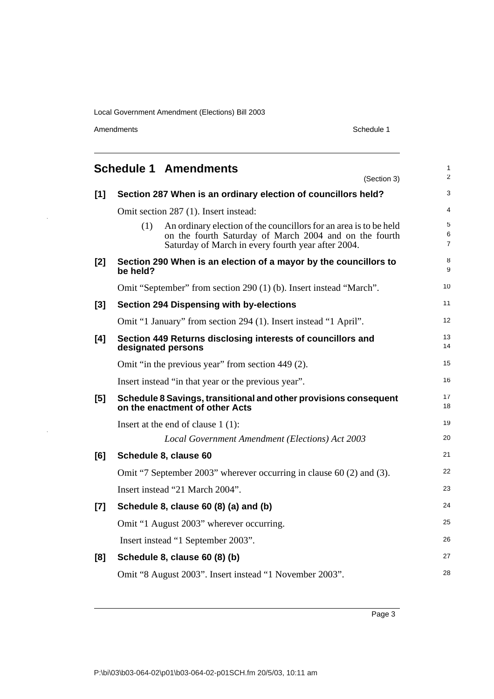Amendments Schedule 1

 $\bar{\psi}$ 

<span id="page-6-0"></span>

|       | <b>Schedule 1 Amendments</b><br>(Section 3)                                                                                                                                              | 1<br>$\overline{2}$ |
|-------|------------------------------------------------------------------------------------------------------------------------------------------------------------------------------------------|---------------------|
| $[1]$ | Section 287 When is an ordinary election of councillors held?                                                                                                                            | 3                   |
|       | Omit section 287 (1). Insert instead:                                                                                                                                                    | 4                   |
|       | An ordinary election of the councillors for an area is to be held<br>(1)<br>on the fourth Saturday of March 2004 and on the fourth<br>Saturday of March in every fourth year after 2004. | 5<br>6<br>7         |
| [2]   | Section 290 When is an election of a mayor by the councillors to<br>be held?                                                                                                             | 8<br>9              |
|       | Omit "September" from section 290 (1) (b). Insert instead "March".                                                                                                                       | 10                  |
| $[3]$ | <b>Section 294 Dispensing with by-elections</b>                                                                                                                                          | 11                  |
|       | Omit "1 January" from section 294 (1). Insert instead "1 April".                                                                                                                         | 12                  |
| [4]   | Section 449 Returns disclosing interests of councillors and<br>designated persons                                                                                                        | 13<br>14            |
|       | Omit "in the previous year" from section 449 (2).                                                                                                                                        | 15                  |
|       | Insert instead "in that year or the previous year".                                                                                                                                      | 16                  |
| [5]   | Schedule 8 Savings, transitional and other provisions consequent<br>on the enactment of other Acts                                                                                       | 17<br>18            |
|       | Insert at the end of clause $1(1)$ :                                                                                                                                                     | 19                  |
|       | Local Government Amendment (Elections) Act 2003                                                                                                                                          | 20                  |
| [6]   | Schedule 8, clause 60                                                                                                                                                                    | 21                  |
|       | Omit "7 September 2003" wherever occurring in clause 60 (2) and (3).                                                                                                                     | 22                  |
|       | Insert instead "21 March 2004".                                                                                                                                                          | 23                  |
| $[7]$ | Schedule 8, clause 60 (8) (a) and (b)                                                                                                                                                    | 24                  |
|       | Omit "1 August 2003" wherever occurring.                                                                                                                                                 | 25                  |
|       | Insert instead "1 September 2003".                                                                                                                                                       | 26                  |
| [8]   | Schedule 8, clause 60 (8) (b)                                                                                                                                                            | 27                  |
|       | Omit "8 August 2003". Insert instead "1 November 2003".                                                                                                                                  | 28                  |

Page 3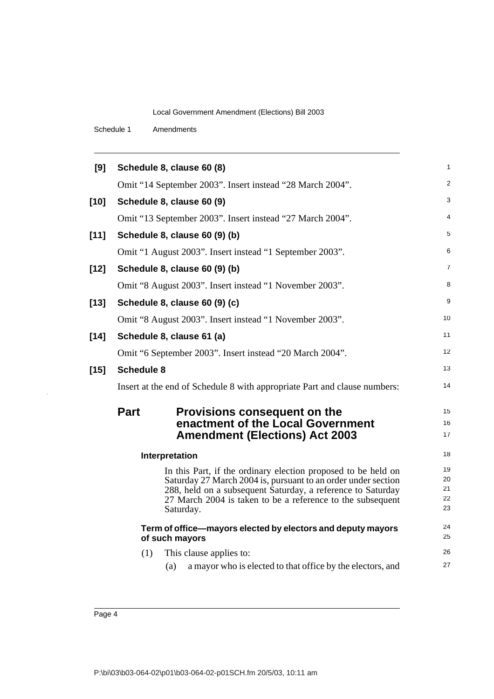Schedule 1 Amendments

| [9]    | Schedule 8, clause 60 (8)                                                                                                                                                                                                                                                | 1                          |
|--------|--------------------------------------------------------------------------------------------------------------------------------------------------------------------------------------------------------------------------------------------------------------------------|----------------------------|
|        | Omit "14 September 2003". Insert instead "28 March 2004".                                                                                                                                                                                                                | $\overline{c}$             |
| $[10]$ | Schedule 8, clause 60 (9)                                                                                                                                                                                                                                                | 3                          |
|        | Omit "13 September 2003". Insert instead "27 March 2004".                                                                                                                                                                                                                | 4                          |
| $[11]$ | Schedule 8, clause 60 (9) (b)                                                                                                                                                                                                                                            | 5                          |
|        | Omit "1 August 2003". Insert instead "1 September 2003".                                                                                                                                                                                                                 | 6                          |
| $[12]$ | Schedule 8, clause 60 (9) (b)                                                                                                                                                                                                                                            | 7                          |
|        | Omit "8 August 2003". Insert instead "1 November 2003".                                                                                                                                                                                                                  | 8                          |
| $[13]$ | Schedule 8, clause 60 (9) (c)                                                                                                                                                                                                                                            | 9                          |
|        | Omit "8 August 2003". Insert instead "1 November 2003".                                                                                                                                                                                                                  | 10                         |
| $[14]$ | Schedule 8, clause 61 (a)                                                                                                                                                                                                                                                | 11                         |
|        | Omit "6 September 2003". Insert instead "20 March 2004".                                                                                                                                                                                                                 | 12                         |
| $[15]$ | <b>Schedule 8</b>                                                                                                                                                                                                                                                        | 13                         |
|        | Insert at the end of Schedule 8 with appropriate Part and clause numbers:                                                                                                                                                                                                | 14                         |
|        | <b>Part</b><br>Provisions consequent on the<br>enactment of the Local Government<br><b>Amendment (Elections) Act 2003</b>                                                                                                                                                | 15<br>16<br>17             |
|        | Interpretation                                                                                                                                                                                                                                                           | 18                         |
|        | In this Part, if the ordinary election proposed to be held on<br>Saturday 27 March 2004 is, pursuant to an order under section<br>288, held on a subsequent Saturday, a reference to Saturday<br>27 March 2004 is taken to be a reference to the subsequent<br>Saturday. | 19<br>20<br>21<br>22<br>23 |
|        | Term of office—mayors elected by electors and deputy mayors<br>of such mayors                                                                                                                                                                                            | 24<br>25                   |
|        | (1)<br>This clause applies to:                                                                                                                                                                                                                                           | 26                         |
|        | a mayor who is elected to that office by the electors, and<br>(a)                                                                                                                                                                                                        | 27                         |
|        |                                                                                                                                                                                                                                                                          |                            |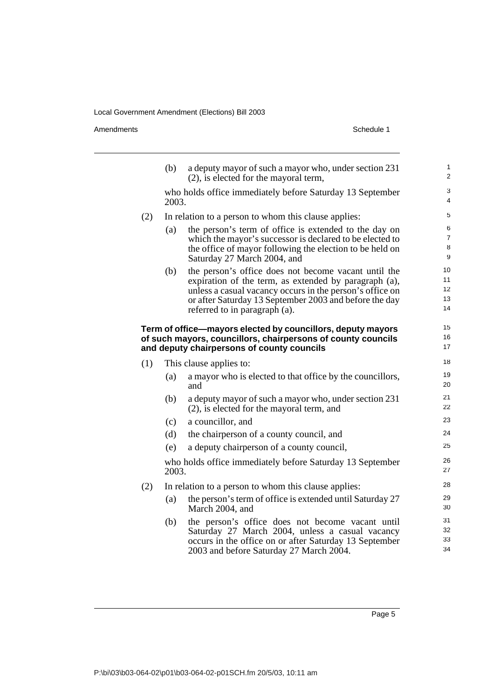Amendments Schedule 1

|     | (b)   | a deputy mayor of such a mayor who, under section 231<br>$(2)$ , is elected for the mayoral term,                                                                                                                                                                    | $\mathbf{1}$<br>2             |
|-----|-------|----------------------------------------------------------------------------------------------------------------------------------------------------------------------------------------------------------------------------------------------------------------------|-------------------------------|
|     | 2003. | who holds office immediately before Saturday 13 September                                                                                                                                                                                                            | 3<br>4                        |
| (2) |       | In relation to a person to whom this clause applies:                                                                                                                                                                                                                 | 5                             |
|     | (a)   | the person's term of office is extended to the day on<br>which the mayor's successor is declared to be elected to<br>the office of mayor following the election to be held on<br>Saturday 27 March 2004, and                                                         | 6<br>$\overline{7}$<br>8<br>9 |
|     | (b)   | the person's office does not become vacant until the<br>expiration of the term, as extended by paragraph (a),<br>unless a casual vacancy occurs in the person's office on<br>or after Saturday 13 September 2003 and before the day<br>referred to in paragraph (a). | 10<br>11<br>12<br>13<br>14    |
|     |       | Term of office—mayors elected by councillors, deputy mayors<br>of such mayors, councillors, chairpersons of county councils<br>and deputy chairpersons of county councils                                                                                            | 15<br>16<br>17                |
| (1) |       | This clause applies to:                                                                                                                                                                                                                                              | 18                            |
|     | (a)   | a mayor who is elected to that office by the councillors,<br>and                                                                                                                                                                                                     | 19<br>20                      |
|     | (b)   | a deputy mayor of such a mayor who, under section 231<br>$(2)$ , is elected for the mayoral term, and                                                                                                                                                                | 21<br>22                      |
|     | (c)   | a councillor, and                                                                                                                                                                                                                                                    | 23                            |
|     | (d)   | the chairperson of a county council, and                                                                                                                                                                                                                             | 24                            |
|     | (e)   | a deputy chairperson of a county council,                                                                                                                                                                                                                            | 25                            |
|     | 2003. | who holds office immediately before Saturday 13 September                                                                                                                                                                                                            | 26<br>27                      |
| (2) |       | In relation to a person to whom this clause applies:                                                                                                                                                                                                                 | 28                            |
|     | (a)   | the person's term of office is extended until Saturday 27<br>March 2004, and                                                                                                                                                                                         | 29<br>30                      |
|     | (b)   | the person's office does not become vacant until<br>Saturday 27 March 2004, unless a casual vacancy<br>occurs in the office on or after Saturday 13 September<br>2003 and before Saturday 27 March 2004.                                                             | 31<br>32<br>33<br>34          |

Page 5